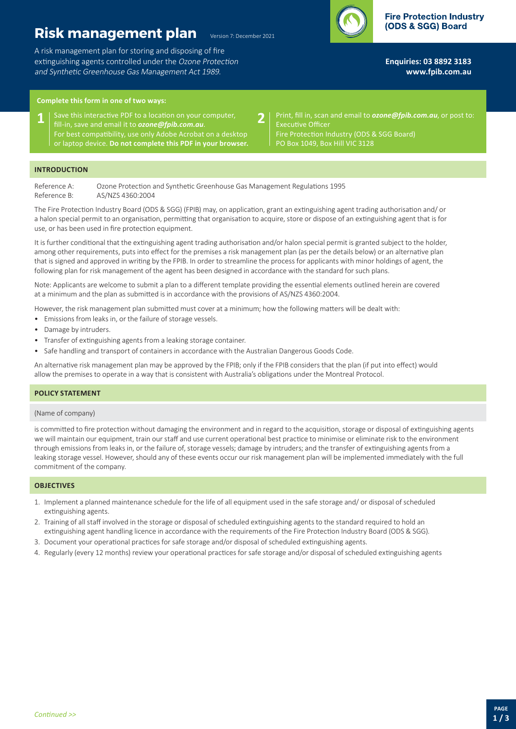# **Risk management plan**

A risk management plan for storing and disposing of fire extinguishing agents controlled under the Ozone Protection and Synthetic Greenhouse Gas Management Act 1989.



**Enquiries: 03 8892 3183 <www.fpib.com.au>**

## **Complete this form in one of two ways:**

- **1** Save this interactive PDF to a location on your computer, **2**<br>**1 i** fill-in, save and email it to **ozone@foib.com.au**. fill-in, save and email it to *[ozone@fpib.com.au](mailto:ozone@fpib.com.au)*. For best compatibility, use only Adobe Acrobat on a desktop or laptop device. **Do not complete this PDF in your browser.**
- Print, fill in, scan and email to *[ozone@fpib.com.au](mailto:)*, or post to: Executive Officer Fire Protection Industry (ODS & SGG Board) PO Box 1049, Box Hill VIC 3128

### **INTRODUCTION**

Reference A: Ozone Protection and Synthetic Greenhouse Gas Management Regulations 1995 Reference B: AS/NZS 4360:2004

The Fire Protection Industry Board (ODS & SGG) (FPIB) may, on application, grant an extinguishing agent trading authorisation and/ or a halon special permit to an organisation, permitting that organisation to acquire, store or dispose of an extinguishing agent that is for use, or has been used in fire protection equipment.

Version 7: December 2021

It is further conditional that the extinguishing agent trading authorisation and/or halon special permit is granted subject to the holder, among other requirements, puts into effect for the premises a risk management plan (as per the details below) or an alternative plan that is signed and approved in writing by the FPIB. In order to streamline the process for applicants with minor holdings of agent, the following plan for risk management of the agent has been designed in accordance with the standard for such plans.

Note: Applicants are welcome to submit a plan to a different template providing the essential elements outlined herein are covered at a minimum and the plan as submitted is in accordance with the provisions of AS/NZS 4360:2004.

However, the risk management plan submitted must cover at a minimum; how the following matters will be dealt with:

- Emissions from leaks in, or the failure of storage vessels.
- Damage by intruders.
- Transfer of extinguishing agents from a leaking storage container.
- Safe handling and transport of containers in accordance with the Australian Dangerous Goods Code.

An alternative risk management plan may be approved by the FPIB; only if the FPIB considers that the plan (if put into effect) would allow the premises to operate in a way that is consistent with Australia's obligations under the Montreal Protocol.

#### **POLICY STATEMENT**

#### (Name of company)

is committed to fire protection without damaging the environment and in regard to the acquisition, storage or disposal of extinguishing agents we will maintain our equipment, train our staff and use current operational best practice to minimise or eliminate risk to the environment through emissions from leaks in, or the failure of, storage vessels; damage by intruders; and the transfer of extinguishing agents from a leaking storage vessel. However, should any of these events occur our risk management plan will be implemented immediately with the full commitment of the company.

#### **OBJECTIVES**

- 1. Implement a planned maintenance schedule for the life of all equipment used in the safe storage and/ or disposal of scheduled extinguishing agents.
- 2. Training of all staff involved in the storage or disposal of scheduled extinguishing agents to the standard required to hold an extinguishing agent handling licence in accordance with the requirements of the Fire Protection Industry Board (ODS & SGG).
- 3. Document your operational practices for safe storage and/or disposal of scheduled extinguishing agents.
- 4. Regularly (every 12 months) review your operational practices for safe storage and/or disposal of scheduled extinguishing agents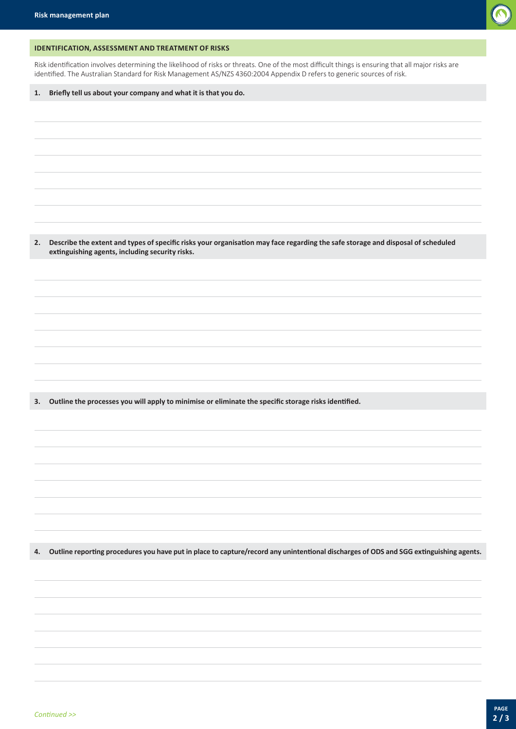

## **IDENTIFICATION, ASSESSMENT AND TREATMENT OF RISKS**

Risk identification involves determining the likelihood of risks or threats. One of the most difficult things is ensuring that all major risks are identified. The Australian Standard for Risk Management AS/NZS 4360:2004 Appendix D refers to generic sources of risk.

**1. Briefly tell us about your company and what it is that you do.**

2. Describe the extent and types of specific risks your organisation may face regarding the safe storage and disposal of scheduled **extinguishing agents, including security risks.**

**3. Outline the processes you will apply to minimise or eliminate the specific storage risks identified.**

4. Outline reporting procedures you have put in place to capture/record any unintentional discharges of ODS and SGG extinguishing agents.